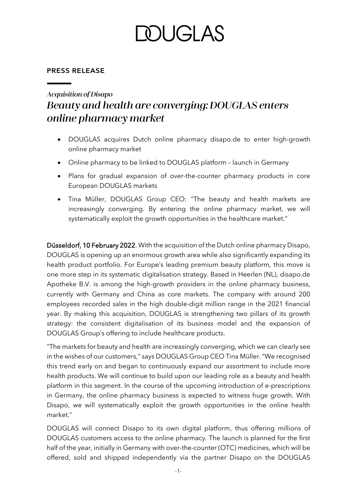# DUGLAS

### **PRESS RELEASE**

### **Acquisition of Disapo** Beauty and health are converging: DOUGLAS enters online pharmacy market

- DOUGLAS acquires Dutch online pharmacy disapo.de to enter high-growth online pharmacy market
- Online pharmacy to be linked to DOUGLAS platform launch in Germany
- Plans for gradual expansion of over-the-counter pharmacy products in core European DOUGLAS markets
- Tina Müller, DOUGLAS Group CEO: "The beauty and health markets are increasingly converging. By entering the online pharmacy market, we will systematically exploit the growth opportunities in the healthcare market."

Düsseldorf, 10 February 2022. With the acquisition of the Dutch online pharmacy Disapo, DOUGLAS is opening up an enormous growth area while also significantly expanding its health product portfolio. For Europe's leading premium beauty platform, this move is one more step in its systematic digitalisation strategy. Based in Heerlen (NL), disapo.de Apotheke B.V. is among the high-growth providers in the online pharmacy business, currently with Germany and China as core markets. The company with around 200 employees recorded sales in the high double-digit million range in the 2021 financial year. By making this acquisition, DOUGLAS is strengthening two pillars of its growth strategy: the consistent digitalisation of its business model and the expansion of DOUGLAS Group's offering to include healthcare products.

"The markets for beauty and health are increasingly converging, which we can clearly see in the wishes of our customers," says DOUGLAS Group CEO Tina Müller. "We recognised this trend early on and began to continuously expand our assortment to include more health products. We will continue to build upon our leading role as a beauty and health platform in this segment. In the course of the upcoming introduction of e-prescriptions in Germany, the online pharmacy business is expected to witness huge growth. With Disapo, we will systematically exploit the growth opportunities in the online health market."

DOUGLAS will connect Disapo to its own digital platform, thus offering millions of DOUGLAS customers access to the online pharmacy. The launch is planned for the first half of the year, initially in Germany with over-the-counter (OTC) medicines, which will be offered, sold and shipped independently via the partner Disapo on the DOUGLAS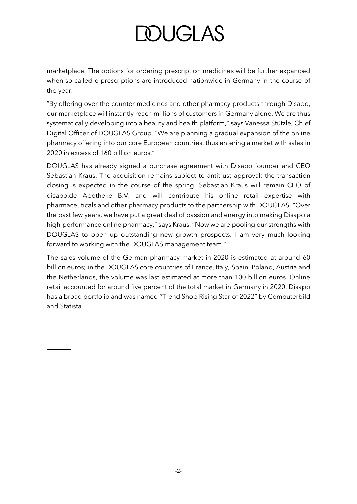# **DOUGLAS**

marketplace. The options for ordering prescription medicines will be further expanded when so-called e-prescriptions are introduced nationwide in Germany in the course of the year.

"By offering over-the-counter medicines and other pharmacy products through Disapo, our marketplace will instantly reach millions of customers in Germany alone. We are thus systematically developing into a beauty and health platform," says Vanessa Stützle, Chief Digital Officer of DOUGLAS Group. "We are planning a gradual expansion of the online pharmacy offering into our core European countries, thus entering a market with sales in 2020 in excess of 160 billion euros."

DOUGLAS has already signed a purchase agreement with Disapo founder and CEO Sebastian Kraus. The acquisition remains subject to antitrust approval; the transaction closing is expected in the course of the spring. Sebastian Kraus will remain CEO of disapo.de Apotheke B.V. and will contribute his online retail expertise with pharmaceuticals and other pharmacy products to the partnership with DOUGLAS. "Over the past few years, we have put a great deal of passion and energy into making Disapo a high-performance online pharmacy," says Kraus. "Now we are pooling our strengths with DOUGLAS to open up outstanding new growth prospects. I am very much looking forward to working with the DOUGLAS management team."

The sales volume of the German pharmacy market in 2020 is estimated at around 60 billion euros; in the DOUGLAS core countries of France, Italy, Spain, Poland, Austria and the Netherlands, the volume was last estimated at more than 100 billion euros. Online retail accounted for around five percent of the total market in Germany in 2020. Disapo has a broad portfolio and was named "Trend Shop Rising Star of 2022" by Computerbild and Statista.